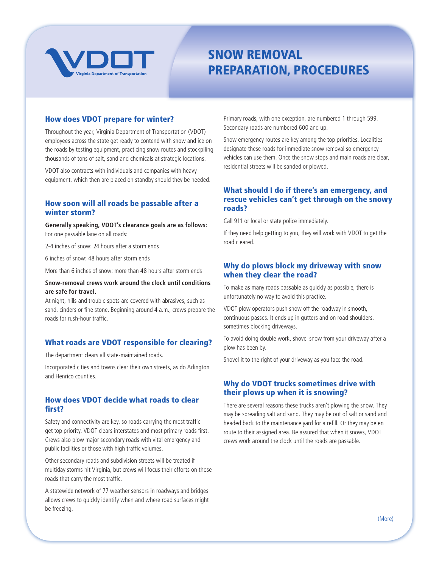

# SNOW REMOVAL PREPARATION, PROCEDURES

#### How does VDOT prepare for winter?

Throughout the year, Virginia Department of Transportation (VDOT) employees across the state get ready to contend with snow and ice on the roads by testing equipment, practicing snow routes and stockpiling thousands of tons of salt, sand and chemicals at strategic locations.

VDOT also contracts with individuals and companies with heavy equipment, which then are placed on standby should they be needed.

#### How soon will all roads be passable after a winter storm?

**Generally speaking, VDOT's clearance goals are as follows:** For one passable lane on all roads:

2-4 inches of snow: 24 hours after a storm ends

6 inches of snow: 48 hours after storm ends

More than 6 inches of snow: more than 48 hours after storm ends

#### **Snow-removal crews work around the clock until conditions are safe for travel.**

At night, hills and trouble spots are covered with abrasives, such as sand, cinders or fine stone. Beginning around 4 a.m., crews prepare the roads for rush-hour traffic.

#### What roads are VDOT responsible for clearing?

The department clears all state-maintained roads.

Incorporated cities and towns clear their own streets, as do Arlington and Henrico counties.

## How does VDOT decide what roads to clear first?

Safety and connectivity are key, so roads carrying the most traffic get top priority. VDOT clears interstates and most primary roads first. Crews also plow major secondary roads with vital emergency and public facilities or those with high traffic volumes.

Other secondary roads and subdivision streets will be treated if multiday storms hit Virginia, but crews will focus their efforts on those roads that carry the most traffic.

A statewide network of 77 weather sensors in roadways and bridges allows crews to quickly identify when and where road surfaces might be freezing.

Primary roads, with one exception, are numbered 1 through 599. Secondary roads are numbered 600 and up.

Snow emergency routes are key among the top priorities. Localities designate these roads for immediate snow removal so emergency vehicles can use them. Once the snow stops and main roads are clear, residential streets will be sanded or plowed.

## What should I do if there's an emergency, and rescue vehicles can't get through on the snowy roads?

Call 911 or local or state police immediately.

If they need help getting to you, they will work with VDOT to get the road cleared.

### Why do plows block my driveway with snow when they clear the road?

To make as many roads passable as quickly as possible, there is unfortunately no way to avoid this practice.

VDOT plow operators push snow off the roadway in smooth, continuous passes. It ends up in gutters and on road shoulders, sometimes blocking driveways.

To avoid doing double work, shovel snow from your driveway after a plow has been by.

Shovel it to the right of your driveway as you face the road.

#### Why do VDOT trucks sometimes drive with their plows up when it is snowing?

There are several reasons these trucks aren't plowing the snow. They may be spreading salt and sand. They may be out of salt or sand and headed back to the maintenance yard for a refill. Or they may be en route to their assigned area. Be assured that when it snows, VDOT crews work around the clock until the roads are passable.